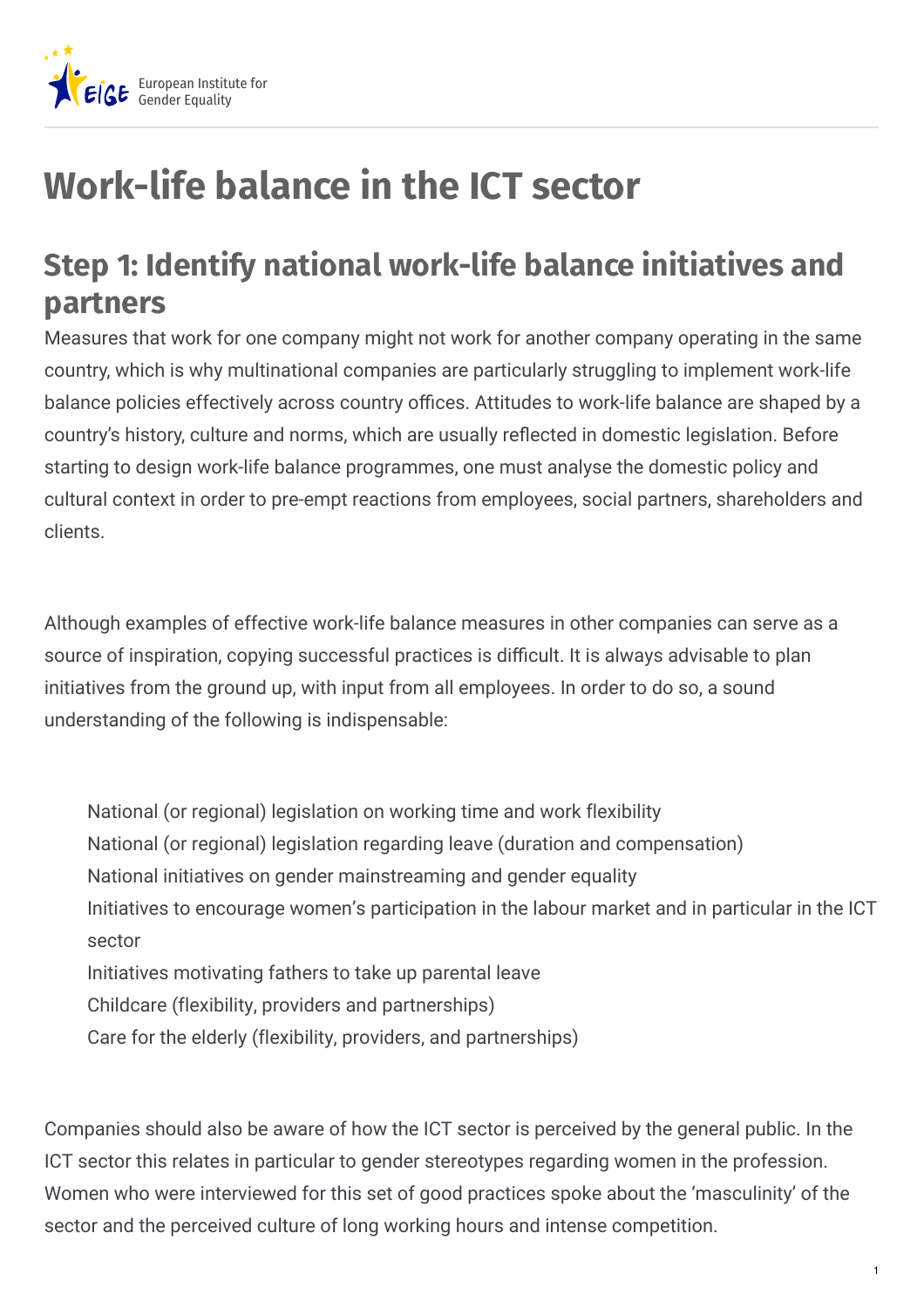

## **Work-life balance in the ICT sector**

## **Step 1: Identify national work-life balance initiatives and partners**

Measures that work for one company might not work for another company operating in the same country, which is why multinational companies are particularly struggling to implement work-life balance policies effectively across country offices. Attitudes to work-life balance are shaped by a country's history, culture and norms, which are usually reflected in domestic legislation. Before starting to design work-life balance programmes, one must analyse the domestic policy and cultural context in order to pre-empt reactions from employees, social partners, shareholders and clients.

Although examples of effective work-life balance measures in other companies can serve as a source of inspiration, copying successful practices is difficult. It is always advisable to plan initiatives from the ground up, with input from all employees. In order to do so, a sound understanding of the following is indispensable:

National (or regional) legislation on working time and work flexibility National (or regional) legislation regarding leave (duration and compensation) National initiatives on gender mainstreaming and gender equality Initiatives to encourage women's participation in the labour market and in particular in the ICT sector Initiatives motivating fathers to take up parental leave Childcare (flexibility, providers and partnerships) Care for the elderly (flexibility, providers, and partnerships)

Companies should also be aware of how the ICT sector is perceived by the general public. In the ICT sector this relates in particular to gender stereotypes regarding women in the profession. Women who were interviewed for this set of good practices spoke about the 'masculinity' of the sector and the perceived culture of long working hours and intense competition.